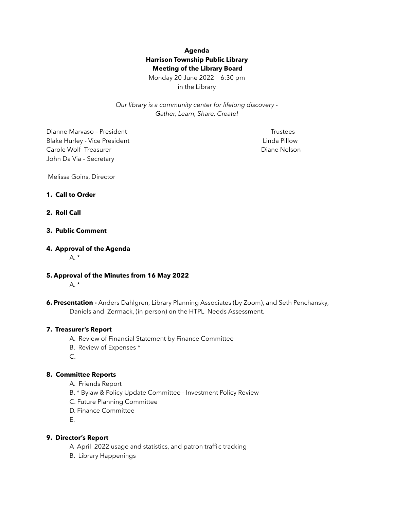# **Agenda Harrison Township Public Library Meeting of the Library Board**

Monday 20 June 2022 6:30 pm in the Library

*Our library is a community center for lifelong discovery - Gather, Learn, Share, Create!* 

Dianne Marvaso – President Trustees Blake Hurley - Vice President Linda Pillow **Linda Pillow Carole Wolf-Treasurer Carole Wolf-Treasurer Carole Wolf-Treasurer Carole Nelson** John Da Via – Secretary

Melissa Goins, Director

#### **1. Call to Order**

#### **2. Roll Call**

### **3. Public Comment**

#### **4. Approval of the Agenda**

 $A^*$ 

**5. Approval of the Minutes from 16 May 2022** 

 $A.$ \*

**6. Presentation -** Anders Dahlgren, Library Planning Associates (by Zoom), and Seth Penchansky, Daniels and Zermack, (in person) on the HTPL Needs Assessment.

#### **7. Treasurer's Report**

- A. Review of Financial Statement by Finance Committee
- B. Review of Expenses \*
- C.

### **8. Committee Reports**

- A. Friends Report
- B. \* Bylaw & Policy Update Committee Investment Policy Review
- C. Future Planning Committee
- D. Finance Committee
- E.

#### **9. Director's Report**

- A April 2022 usage and statistics, and patron traffic tracking
- B. Library Happenings